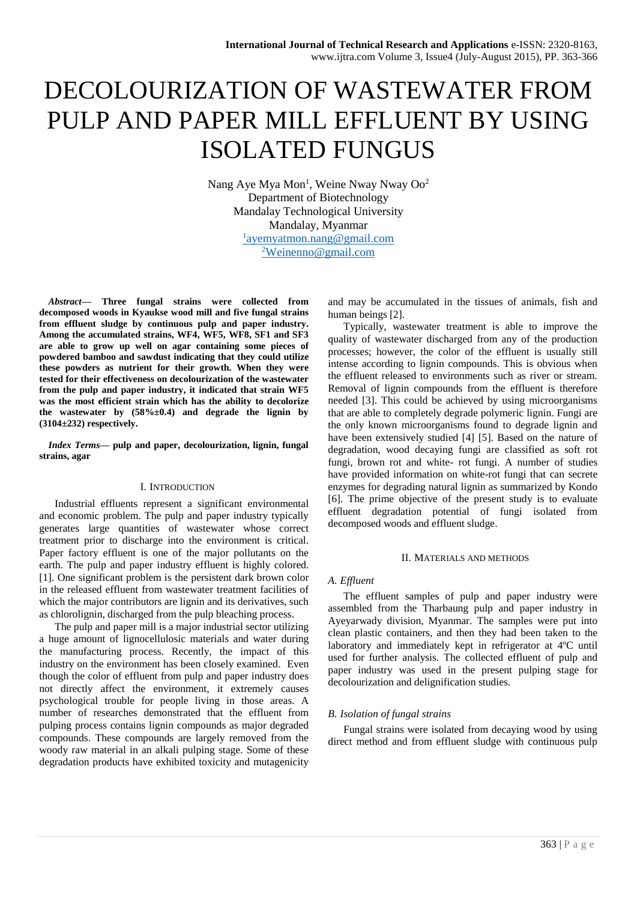# DECOLOURIZATION OF WASTEWATER FROM PULP AND PAPER MILL EFFLUENT BY USING ISOLATED FUNGUS

Nang Aye Mya Mon<sup>1</sup>, Weine Nway Nway Oo<sup>2</sup> Department of Biotechnology Mandalay Technological University Mandalay, Myanmar 1 [ayemyatmon.nang@gmail.com](mailto:1ayemyatmon.nang@gmail.com) <sup>2</sup>[Weinenno@gmail.com](mailto:2Weinenno@gmail.com)

*Abstract***— Three fungal strains were collected from decomposed woods in Kyaukse wood mill and five fungal strains from effluent sludge by continuous pulp and paper industry. Among the accumulated strains, WF4, WF5, WF8, SF1 and SF3 are able to grow up well on agar containing some pieces of powdered bamboo and sawdust indicating that they could utilize these powders as nutrient for their growth. When they were tested for their effectiveness on decolourization of the wastewater from the pulp and paper industry, it indicated that strain WF5 was the most efficient strain which has the ability to decolorize the wastewater by (58%±0.4) and degrade the lignin by (3104±232) respectively.**

*Index Terms***— pulp and paper, decolourization, lignin, fungal strains, agar**

#### I. INTRODUCTION

Industrial effluents represent a significant environmental and economic problem. The pulp and paper industry typically generates large quantities of wastewater whose correct treatment prior to discharge into the environment is critical. Paper factory effluent is one of the major pollutants on the earth. The pulp and paper industry effluent is highly colored. [1]. One significant problem is the persistent dark brown color in the released effluent from wastewater treatment facilities of which the major contributors are lignin and its derivatives, such as chlorolignin, discharged from the pulp bleaching process.

The pulp and paper mill is a major industrial sector utilizing a huge amount of lignocellulosic materials and water during the manufacturing process. Recently, the impact of this industry on the environment has been closely examined. Even though the color of effluent from pulp and paper industry does not directly affect the environment, it extremely causes psychological trouble for people living in those areas. A number of researches demonstrated that the effluent from pulping process contains lignin compounds as major degraded compounds. These compounds are largely removed from the woody raw material in an alkali pulping stage. Some of these degradation products have exhibited toxicity and mutagenicity

and may be accumulated in the tissues of animals, fish and human beings [2].

Typically, wastewater treatment is able to improve the quality of wastewater discharged from any of the production processes; however, the color of the effluent is usually still intense according to lignin compounds. This is obvious when the effluent released to environments such as river or stream. Removal of lignin compounds from the effluent is therefore needed [3]. This could be achieved by using microorganisms that are able to completely degrade polymeric lignin. Fungi are the only known microorganisms found to degrade lignin and have been extensively studied [4] [5]. Based on the nature of degradation, wood decaying fungi are classified as soft rot fungi, brown rot and white- rot fungi. A number of studies have provided information on white-rot fungi that can secrete enzymes for degrading natural lignin as summarized by Kondo [6]. The prime objective of the present study is to evaluate effluent degradation potential of fungi isolated from decomposed woods and effluent sludge.

#### II. MATERIALS AND METHODS

# *A. Effluent*

The effluent samples of pulp and paper industry were assembled from the Tharbaung pulp and paper industry in Ayeyarwady division, Myanmar. The samples were put into clean plastic containers, and then they had been taken to the laboratory and immediately kept in refrigerator at 4ºC until used for further analysis. The collected effluent of pulp and paper industry was used in the present pulping stage for decolourization and delignification studies.

# *B. Isolation of fungal strains*

Fungal strains were isolated from decaying wood by using direct method and from effluent sludge with continuous pulp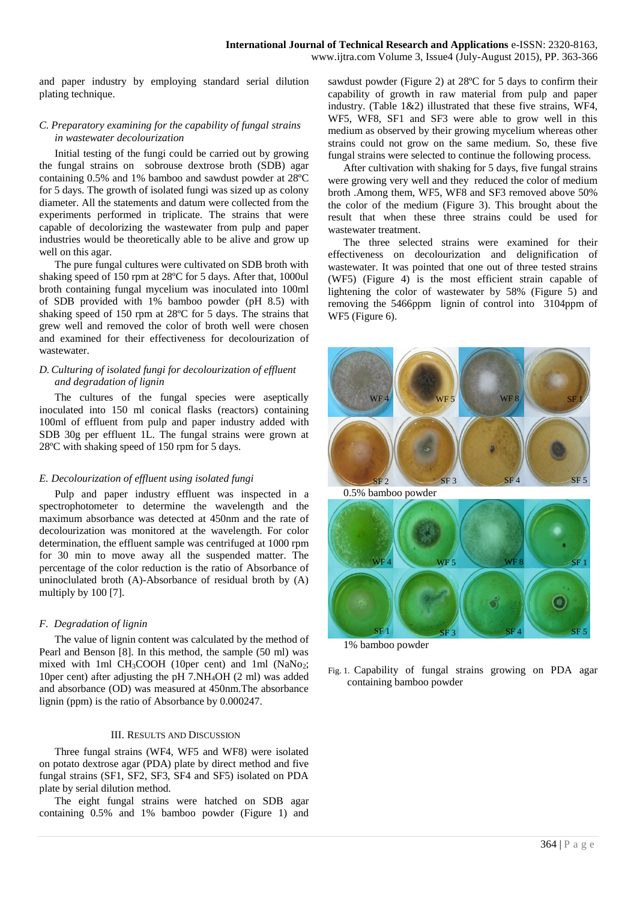www.ijtra.com Volume 3, Issue4 (July-August 2015), PP. 363-366

and paper industry by employing standard serial dilution plating technique.

#### *C. Preparatory examining for the capability of fungal strains in wastewater decolourization*

Initial testing of the fungi could be carried out by growing the fungal strains on sobrouse dextrose broth (SDB) agar containing 0.5% and 1% bamboo and sawdust powder at 28ºC for 5 days. The growth of isolated fungi was sized up as colony diameter. All the statements and datum were collected from the experiments performed in triplicate. The strains that were capable of decolorizing the wastewater from pulp and paper industries would be theoretically able to be alive and grow up well on this agar.

The pure fungal cultures were cultivated on SDB broth with shaking speed of 150 rpm at 28ºC for 5 days. After that, 1000ul broth containing fungal mycelium was inoculated into 100ml of SDB provided with 1% bamboo powder (pH 8.5) with shaking speed of 150 rpm at 28ºC for 5 days. The strains that grew well and removed the color of broth well were chosen and examined for their effectiveness for decolourization of wastewater.

# *D. Culturing of isolated fungi for decolourization of effluent and degradation of lignin*

The cultures of the fungal species were aseptically inoculated into 150 ml conical flasks (reactors) containing 100ml of effluent from pulp and paper industry added with SDB 30g per effluent 1L. The fungal strains were grown at 28ºC with shaking speed of 150 rpm for 5 days.

# *E. Decolourization of effluent using isolated fungi*

Pulp and paper industry effluent was inspected in a spectrophotometer to determine the wavelength and the maximum absorbance was detected at 450nm and the rate of decolourization was monitored at the wavelength. For color determination, the effluent sample was centrifuged at 1000 rpm for 30 min to move away all the suspended matter. The percentage of the color reduction is the ratio of Absorbance of uninoclulated broth (A)-Absorbance of residual broth by (A) multiply by 100 [7].

# *F. Degradation of lignin*

The value of lignin content was calculated by the method of Pearl and Benson [8]. In this method, the sample (50 ml) was mixed with 1ml CH<sub>3</sub>COOH (10per cent) and 1ml (NaNo2; 10per cent) after adjusting the pH 7.NH4OH (2 ml) was added and absorbance (OD) was measured at 450nm.The absorbance lignin (ppm) is the ratio of Absorbance by 0.000247.

# III. RESULTS AND DISCUSSION

Three fungal strains (WF4, WF5 and WF8) were isolated on potato dextrose agar (PDA) plate by direct method and five fungal strains (SF1, SF2, SF3, SF4 and SF5) isolated on PDA plate by serial dilution method.

The eight fungal strains were hatched on SDB agar containing 0.5% and 1% bamboo powder (Figure 1) and

sawdust powder (Figure 2) at 28ºC for 5 days to confirm their capability of growth in raw material from pulp and paper industry. (Table 1&2) illustrated that these five strains, WF4, WF5, WF8, SF1 and SF3 were able to grow well in this medium as observed by their growing mycelium whereas other strains could not grow on the same medium. So, these five fungal strains were selected to continue the following process.

After cultivation with shaking for 5 days, five fungal strains were growing very well and they reduced the color of medium broth .Among them, WF5, WF8 and SF3 removed above 50% the color of the medium (Figure 3). This brought about the result that when these three strains could be used for wastewater treatment.

The three selected strains were examined for their effectiveness on decolourization and delignification of wastewater. It was pointed that one out of three tested strains (WF5) (Figure 4) is the most efficient strain capable of lightening the color of wastewater by 58% (Figure 5) and removing the 5466ppm lignin of control into 3104ppm of WF5 (Figure 6).



1% bamboo powder

Fig. 1. Capability of fungal strains growing on PDA agar containing bamboo powder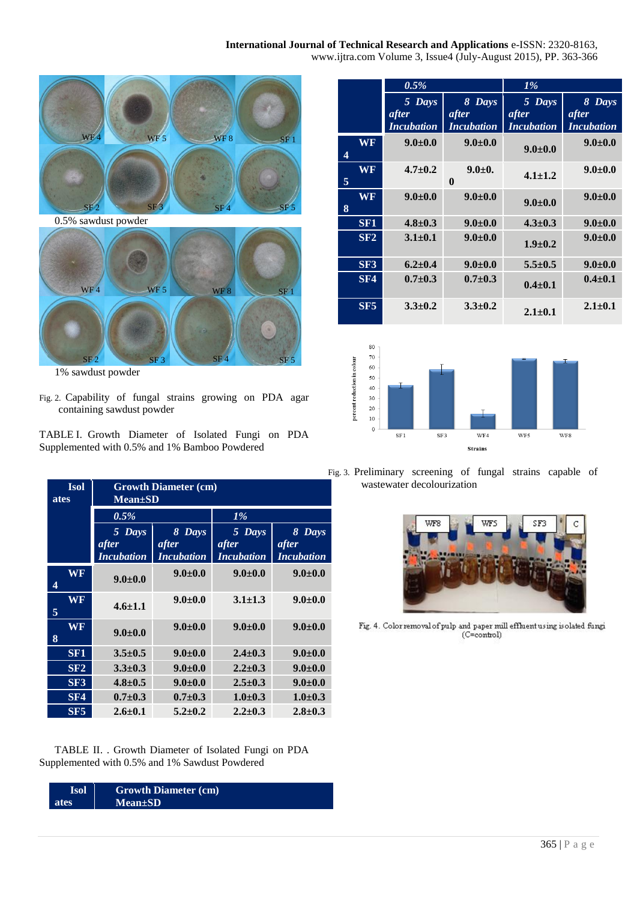# **International Journal of Technical Research and Applications** e-ISSN: 2320-8163,

www.ijtra.com Volume 3, Issue4 (July-August 2015), PP. 363-366



1% sawdust powder

- Fig. 2. Capability of fungal strains growing on PDA agar containing sawdust powder
- TABLE I. Growth Diameter of Isolated Fungi on PDA Supplemented with 0.5% and 1% Bamboo Powdered

| <b>Isol</b><br>ates | <b>Growth Diameter (cm)</b><br><b>Mean</b> ±SD |                    |                 |                 |  |  |
|---------------------|------------------------------------------------|--------------------|-----------------|-----------------|--|--|
|                     | 0.5%                                           |                    | $1\%$           |                 |  |  |
|                     | 5 Days<br>after                                | 8<br>Days<br>after | 5 Days<br>after | 8 Days<br>after |  |  |
|                     | <i>Incubation</i>                              | <i>Incubation</i>  | Incubation      | Incubation      |  |  |
| WF<br>4             | $9.0 + 0.0$                                    | $9.0 + 0.0$        | $9.0 \pm 0.0$   | $9.0 \pm 0.0$   |  |  |
| <b>WF</b><br>5      | $4.6 \pm 1.1$                                  | $9.0 + 0.0$        | $3.1 \pm 1.3$   | $9.0 + 0.0$     |  |  |
| WF<br>8             | $9.0 + 0.0$                                    | $9.0 + 0.0$        | $9.0 \pm 0.0$   | $9.0 + 0.0$     |  |  |
| SF <sub>1</sub>     | $3.5 \pm 0.5$                                  | $9.0 + 0.0$        | $2.4 \pm 0.3$   | $9.0 + 0.0$     |  |  |
| SF2                 | $3.3 \pm 0.3$                                  | $9.0 + 0.0$        | $2.2 \pm 0.3$   | $9.0 \pm 0.0$   |  |  |
| SF3                 | $4.8 \pm 0.5$                                  | $9.0 \pm 0.0$      | $2.5 \pm 0.3$   | $9.0 + 0.0$     |  |  |
| SF4                 | $0.7 \pm 0.3$                                  | $0.7 \pm 0.3$      | $1.0 \pm 0.3$   | $1.0 \pm 0.3$   |  |  |
| SF5                 | $2.6 \pm 0.1$                                  | $5.2 \pm 0.2$      | $2.2 \pm 0.3$   | $2.8 \pm 0.3$   |  |  |

TABLE II. . Growth Diameter of Isolated Fungi on PDA Supplemented with 0.5% and 1% Sawdust Powdered

| <b>Isol</b> | <b>Growth Diameter (cm)</b> |  |
|-------------|-----------------------------|--|
| ates        | $Mean \pm SD$               |  |

|                                        | 0.5%              |                          | $1\%$             |                   |
|----------------------------------------|-------------------|--------------------------|-------------------|-------------------|
|                                        | 5 Days            | 8 Days                   | Days<br>5.        | 8 Days            |
|                                        | after             | after                    | after             | after             |
|                                        | <b>Incubation</b> | <b>Incubation</b>        | <b>Incubation</b> | <b>Incubation</b> |
| $\overline{\mathbf{W}}\mathbf{F}$<br>4 | $9.0 \pm 0.0$     | $9.0 + 0.0$              | $9.0 \pm 0.0$     | $9.0 \pm 0.0$     |
| WF<br>5                                | $4.7 \pm 0.2$     | $9.0 \pm 0.$<br>$\bf{0}$ | $4.1 \pm 1.2$     | $9.0 \pm 0.0$     |
| WF<br>8                                | $9.0 \pm 0.0$     | $9.0 + 0.0$              | $9.0 + 0.0$       | $9.0 \pm 0.0$     |
| SF <sub>1</sub>                        | $4.8 \pm 0.3$     | $9.0 + 0.0$              | $4.3 \pm 0.3$     | $9.0 \pm 0.0$     |
| SF2                                    | $3.1 \pm 0.1$     | $9.0 + 0.0$              | $1.9 \pm 0.2$     | $9.0 \pm 0.0$     |
| SF3                                    | $6.2 \pm 0.4$     | $9.0 + 0.0$              | $5.5 \pm 0.5$     | $9.0 \pm 0.0$     |
| SF4                                    | $0.7 + 0.3$       | $0.7 \pm 0.3$            | $0.4 \pm 0.1$     | $0.4 \pm 0.1$     |
| SF5                                    | $3.3 \pm 0.2$     | $3.3 \pm 0.2$            | $2.1 \pm 0.1$     | $2.1 \pm 0.1$     |



Fig. 3. Preliminary screening of fungal strains capable of **Isol** wastewater decolourization



Fig. 4. Color removal of pulp and paper mill effluent using is olated fungi (C=control)